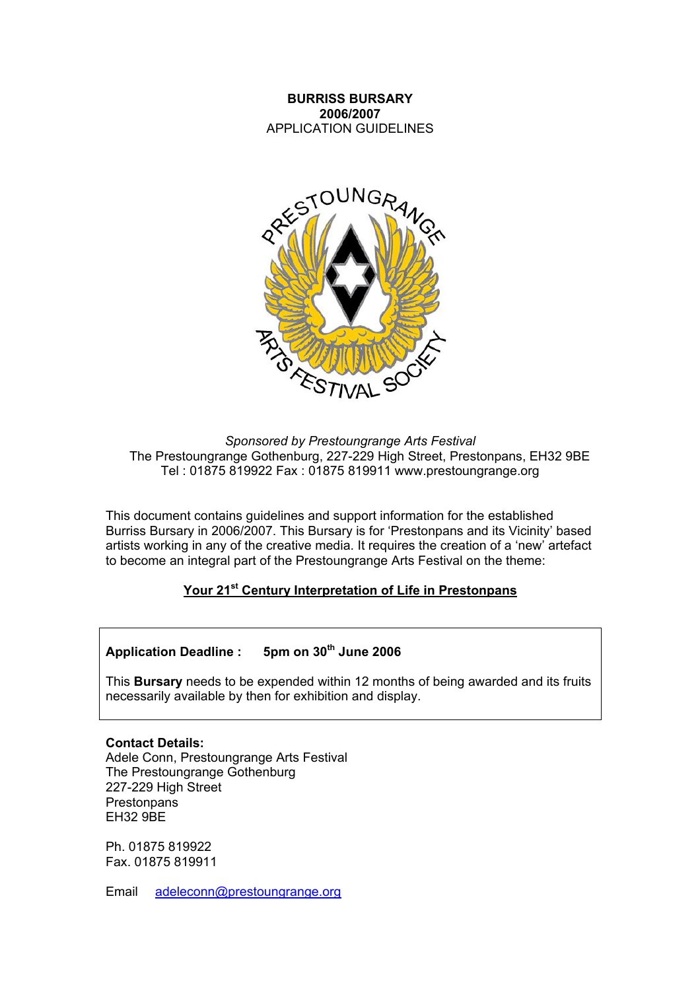## **BURRISS BURSARY 2006/2007**  APPLICATION GUIDELINES



*Sponsored by Prestoungrange Arts Festival*  The Prestoungrange Gothenburg, 227-229 High Street, Prestonpans, EH32 9BE Tel : 01875 819922 Fax : 01875 819911 www.prestoungrange.org

This document contains guidelines and support information for the established Burriss Bursary in 2006/2007. This Bursary is for 'Prestonpans and its Vicinity' based artists working in any of the creative media. It requires the creation of a 'new' artefact to become an integral part of the Prestoungrange Arts Festival on the theme:

# **Your 21st Century Interpretation of Life in Prestonpans**

# Application Deadline : 5pm on 30<sup>th</sup> June 2006

This **Bursary** needs to be expended within 12 months of being awarded and its fruits necessarily available by then for exhibition and display.

**Contact Details:**  Adele Conn, Prestoungrange Arts Festival The Prestoungrange Gothenburg 227-229 High Street **Prestonpans** EH32 9BE

Ph. 01875 819922 Fax. 01875 819911

Email [adeleconn@prestoungrange.org](mailto:adeleconn@prestoungrange.org)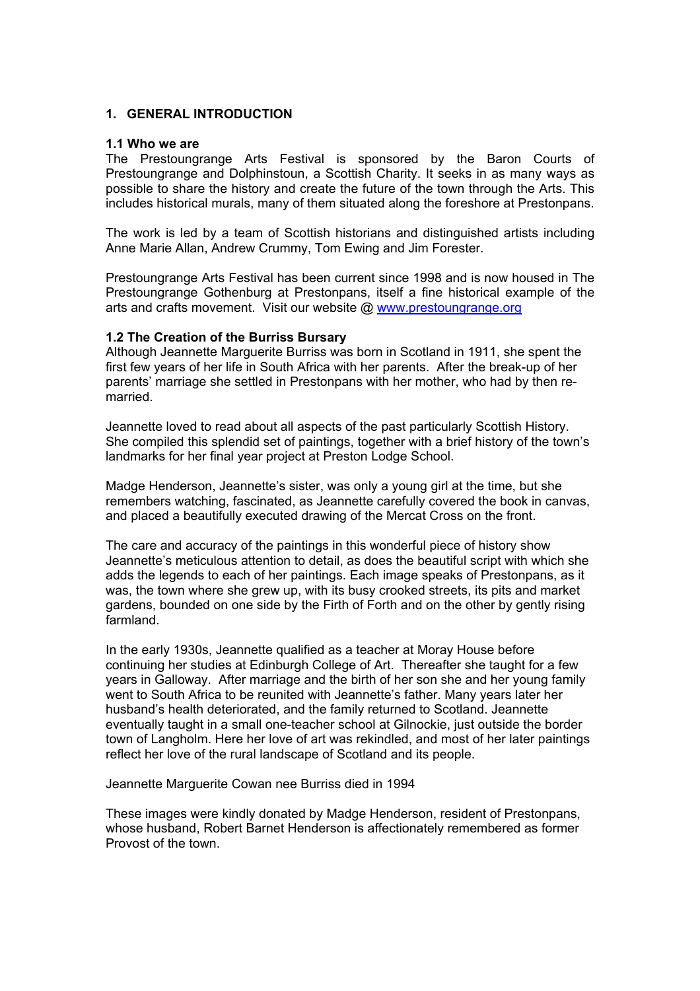#### **1. GENERAL INTRODUCTION**

#### **1.1 Who we are**

The Prestoungrange Arts Festival is sponsored by the Baron Courts of Prestoungrange and Dolphinstoun, a Scottish Charity. It seeks in as many ways as possible to share the history and create the future of the town through the Arts. This includes historical murals, many of them situated along the foreshore at Prestonpans.

The work is led by a team of Scottish historians and distinguished artists including Anne Marie Allan, Andrew Crummy, Tom Ewing and Jim Forester.

Prestoungrange Arts Festival has been current since 1998 and is now housed in The Prestoungrange Gothenburg at Prestonpans, itself a fine historical example of the arts and crafts movement. Visit our website @ [www.prestoungrange.org](http://www.prestoungrange.org/)

#### **1.2 The Creation of the Burriss Bursary**

Although Jeannette Marguerite Burriss was born in Scotland in 1911, she spent the first few years of her life in South Africa with her parents. After the break-up of her parents' marriage she settled in Prestonpans with her mother, who had by then remarried.

Jeannette loved to read about all aspects of the past particularly Scottish History. She compiled this splendid set of paintings, together with a brief history of the town's landmarks for her final year project at Preston Lodge School.

Madge Henderson, Jeannette's sister, was only a young girl at the time, but she remembers watching, fascinated, as Jeannette carefully covered the book in canvas, and placed a beautifully executed drawing of the Mercat Cross on the front.

The care and accuracy of the paintings in this wonderful piece of history show Jeannette's meticulous attention to detail, as does the beautiful script with which she adds the legends to each of her paintings. Each image speaks of Prestonpans, as it was, the town where she grew up, with its busy crooked streets, its pits and market gardens, bounded on one side by the Firth of Forth and on the other by gently rising farmland.

In the early 1930s, Jeannette qualified as a teacher at Moray House before continuing her studies at Edinburgh College of Art. Thereafter she taught for a few years in Galloway. After marriage and the birth of her son she and her young family went to South Africa to be reunited with Jeannette's father. Many years later her husband's health deteriorated, and the family returned to Scotland. Jeannette eventually taught in a small one-teacher school at Gilnockie, just outside the border town of Langholm. Here her love of art was rekindled, and most of her later paintings reflect her love of the rural landscape of Scotland and its people.

Jeannette Marguerite Cowan nee Burriss died in 1994

These images were kindly donated by Madge Henderson, resident of Prestonpans, whose husband, Robert Barnet Henderson is affectionately remembered as former Provost of the town.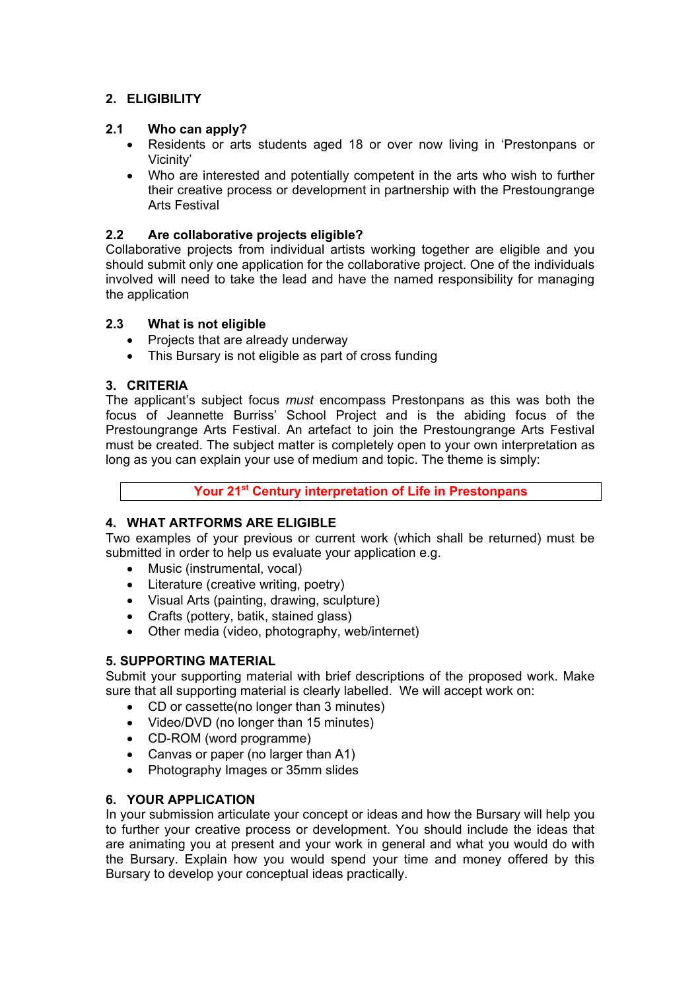# **2. ELIGIBILITY**

# **2.1 Who can apply?**

- Residents or arts students aged 18 or over now living in 'Prestonpans or Vicinity'
- Who are interested and potentially competent in the arts who wish to further their creative process or development in partnership with the Prestoungrange Arts Festival

# **2.2 Are collaborative projects eligible?**

Collaborative projects from individual artists working together are eligible and you should submit only one application for the collaborative project. One of the individuals involved will need to take the lead and have the named responsibility for managing the application

# **2.3 What is not eligible**

- Projects that are already underway
- This Bursary is not eligible as part of cross funding

# **3. CRITERIA**

The applicant's subject focus *must* encompass Prestonpans as this was both the focus of Jeannette Burriss' School Project and is the abiding focus of the Prestoungrange Arts Festival. An artefact to join the Prestoungrange Arts Festival must be created. The subject matter is completely open to your own interpretation as long as you can explain your use of medium and topic. The theme is simply:

**Your 21st Century interpretation of Life in Prestonpans** 

# **4. WHAT ARTFORMS ARE ELIGIBLE**

Two examples of your previous or current work (which shall be returned) must be submitted in order to help us evaluate your application e.g.

- Music (instrumental, vocal)
- Literature (creative writing, poetry)
- Visual Arts (painting, drawing, sculpture)
- Crafts (pottery, batik, stained glass)
- Other media (video, photography, web/internet)

### **5. SUPPORTING MATERIAL**

Submit your supporting material with brief descriptions of the proposed work. Make sure that all supporting material is clearly labelled. We will accept work on:

- CD or cassette(no longer than 3 minutes)
- Video/DVD (no longer than 15 minutes)
- CD-ROM (word programme)
- Canvas or paper (no larger than A1)
- Photography Images or 35mm slides

### **6. YOUR APPLICATION**

In your submission articulate your concept or ideas and how the Bursary will help you to further your creative process or development. You should include the ideas that are animating you at present and your work in general and what you would do with the Bursary. Explain how you would spend your time and money offered by this Bursary to develop your conceptual ideas practically.